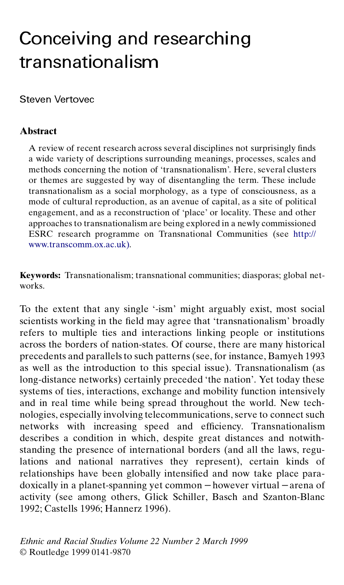# Conceiving and researching transnationalism

Steven Vertovec

### **Abstract**

A review of recent research across several disciplines not surprisingly finds a wide variety of descriptions surrounding meanings, processes, scales and methods concerning the notion of 'transnationalism'. Here, several clusters or themes are suggested by way of disentangling the term. These include transnationalism as a social morphology, as a type of consciousness, as a mode of cultural reproduction, as an avenue of capital, as a site of political engagement, and as a reconstruction of 'place' or locality. These and other approaches to transnationalism are being explored in a newly commissioned ESRC research programme on Transnational Communities (see [http://](http://www.transcomm.ox.ac.uk) [www.transcomm.ox.ac.uk](http://www.transcomm.ox.ac.uk)).

**Keywords:** Transnationalism; transnational communities; diasporas; global networks.

To the extent that any single '-ism' might arguably exist, most social scientists working in the field may agree that 'transnationalism' broadly refers to multiple ties and interactions linking people or institutions across the borders of nation-states. Of course, there are many historical precedents and parallels to such patterns (see, for instance, Bamyeh 1993 as well as the introduction to this special issue). Transnationalism (as long-distance networks) certainly preceded 'the nation'. Yet today these systems of ties, interactions, exchange and mobility function intensively and in real time while being spread throughout the world. New technologies, especially involving telecommunications, serve to connect such networks with increasing speed and efficiency. Transnationalism describes a condition in which, despite great distances and notwithstanding the presence of international borders (and all the laws, regulations and national narratives they represent), certain kinds of relationships have been globally intensified and now take place paradoxically in a planet-spanning yet common – however virtual – arena of activity (see among others, Glick Schiller, Basch and Szanton-Blanc 1992; Castells 1996; Hannerz 1996).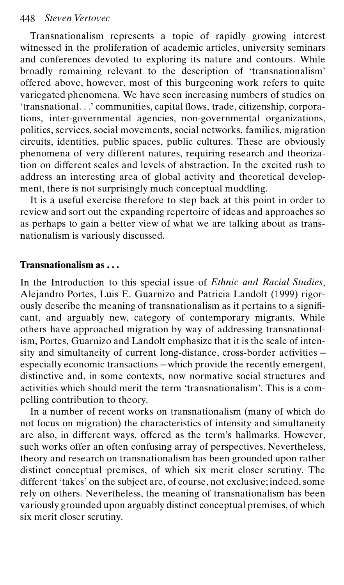Transnationalism represents a topic of rapidly growing interest witnessed in the proliferation of academic articles, university seminars and conferences devoted to exploring its nature and contours. While broadly remaining relevant to the description of 'transnationalism' offered above, however, most of this burgeoning work refers to quite variegated phenomena. We have seen increasing numbers of studies on 'transnational. . .' communities, capital flows, trade, citizenship, corporations, inter-governmental agencies, non-governmental organizations, politics, services, social movements, social networks, families, migration circuits, identities, public spaces, public cultures. These are obviously phenomena of very different natures, requiring research and theorization on different scales and levels of abstraction. In the excited rush to address an interesting area of global activity and theoretical development, there is not surprisingly much conceptual muddling.

It is a useful exercise therefore to step back at this point in order to review and sort out the expanding repertoire of ideas and approaches so as perhaps to gain a better view of what we are talking about as transnationalism is variously discussed.

#### **Transnationalism as . . .**

In the Introduction to this special issue of *Ethnic and Racial Studies*, Alejandro Portes, Luis E. Guarnizo and Patricia Landolt (1999) rigorously describe the meaning of transnationalism as it pertains to a significant, and arguably new, category of contemporary migrants. While others have approached migration by way of addressing transnationalism, Portes, Guarnizo and Landolt emphasize that it is the scale of intensity and simultaneity of current long-distance, cross-border activities – especially economic transactions –which provide the recently emergent, distinctive and, in some contexts, now normative social structures and activities which should merit the term 'transnationalism'. This is a compelling contribution to theory.

In a number of recent works on transnationalism (many of which do not focus on migration) the characteristics of intensity and simultaneity are also, in different ways, offered as the term's hallmarks. However, such works offer an often confusing array of perspectives. Nevertheless, theory and research on transnationalism has been grounded upon rather distinct conceptual premises, of which six merit closer scrutiny. The different 'takes' on the subject are, of course, not exclusive; indeed, some rely on others. Nevertheless, the meaning of transnationalism has been variously grounded upon arguably distinct conceptual premises, of which six merit closer scrutiny.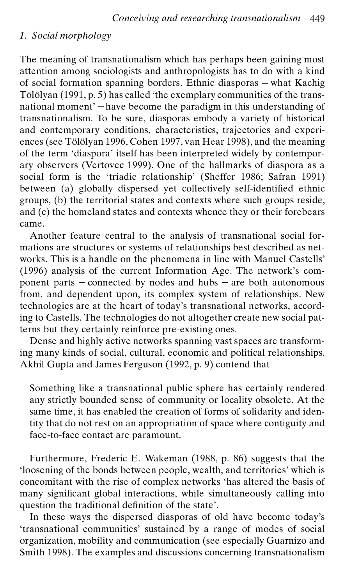#### *1. Social morphology*

The meaning of transnationalism which has perhaps been gaining most attention among sociologists and anthropologists has to do with a kind of social formation spanning borders. Ethnic diasporas – what Kachig Tölölyan (1991, p. 5) has called 'the exemplary communities of the transnational moment' – have become the paradigm in this understanding of transnationalism. To be sure, diasporas embody a variety of historical and contemporary conditions, characteristics, trajectories and experiences (see Tölölyan 1996, Cohen 1997, van Hear 1998), and the meaning of the term 'diaspora' itself has been interpreted widely by contemporary observers (Vertovec 1999). One of the hallmarks of diaspora as a social form is the 'triadic relationship' (Sheffer 1986; Safran 1991) between (a) globally dispersed yet collectively self-identified ethnic groups, (b) the territorial states and contexts where such groups reside, and (c) the homeland states and contexts whence they or their forebears came.

Another feature central to the analysis of transnational social formations are structures or systems of relationships best described as networks. This is a handle on the phenomena in line with Manuel Castells' (1996) analysis of the current Information Age. The network's component parts – connected by nodes and hubs – are both autonomous from, and dependent upon, its complex system of relationships. New technologies are at the heart of today's transnational networks, according to Castells. The technologies do not altogether create new social patterns but they certainly reinforce pre-existing ones.

Dense and highly active networks spanning vast spaces are transforming many kinds of social, cultural, economic and political relationships. Akhil Gupta and James Ferguson (1992, p. 9) contend that

Something like a transnational public sphere has certainly rendered any strictly bounded sense of community or locality obsolete. At the same time, it has enabled the creation of forms of solidarity and identity that do not rest on an appropriation of space where contiguity and face-to-face contact are paramount.

Furthermore, Frederic E. Wakeman (1988, p. 86) suggests that the 'loosening of the bonds between people, wealth, and territories' which is concomitant with the rise of complex networks 'has altered the basis of many signicant global interactions, while simultaneously calling into question the traditional definition of the state'.

In these ways the dispersed diasporas of old have become today's 'transnational communities' sustained by a range of modes of social organization, mobility and communication (see especially Guarnizo and Smith 1998). The examples and discussions concerning transnationalism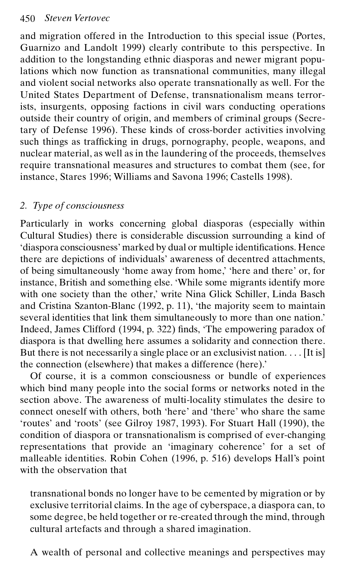and migration offered in the Introduction to this special issue (Portes, Guarnizo and Landolt 1999) clearly contribute to this perspective. In addition to the longstanding ethnic diasporas and newer migrant populations which now function as transnational communities, many illegal and violent social networks also operate transnationally as well. For the United States Department of Defense, transnationalism means terrorists, insurgents, opposing factions in civil wars conducting operations outside their country of origin, and members of criminal groups (Secretary of Defense 1996). These kinds of cross-border activities involving such things as trafficking in drugs, pornography, people, weapons, and nuclear material, as well as in the laundering of the proceeds, themselves require transnational measures and structures to combat them (see, for instance, Stares 1996; Williams and Savona 1996; Castells 1998).

## *2. Type of consciousness*

Particularly in works concerning global diasporas (especially within Cultural Studies) there is considerable discussion surrounding a kind of 'diaspora consciousness' marked by dual or multiple identifications. Hence there are depictions of individuals' awareness of decentred attachments, of being simultaneously 'home away from home,' 'here and there' or, for instance, British and something else. 'While some migrants identify more with one society than the other,' write Nina Glick Schiller, Linda Basch and Cristina Szanton-Blanc (1992, p. 11), 'the majority seem to maintain several identities that link them simultaneously to more than one nation.' Indeed, James Clifford (1994, p. 322) finds, 'The empowering paradox of diaspora is that dwelling here assumes a solidarity and connection there. But there is not necessarily a single place or an exclusivist nation.  $\ldots$  [It is] the connection (elsewhere) that makes a difference (here).'

Of course, it is a common consciousness or bundle of experiences which bind many people into the social forms or networks noted in the section above. The awareness of multi-locality stimulates the desire to connect oneself with others, both 'here' and 'there' who share the same 'routes' and 'roots' (see Gilroy 1987, 1993). For Stuart Hall (1990), the condition of diaspora or transnationalism is comprised of ever-changing representations that provide an 'imaginary coherence' for a set of malleable identities. Robin Cohen (1996, p. 516) develops Hall's point with the observation that

transnational bonds no longer have to be cemented by migration or by exclusive territorial claims. In the age of cyberspace, a diaspora can, to some degree, be held together or re-created through the mind, through cultural artefacts and through a shared imagination.

A wealth of personal and collective meanings and perspectives may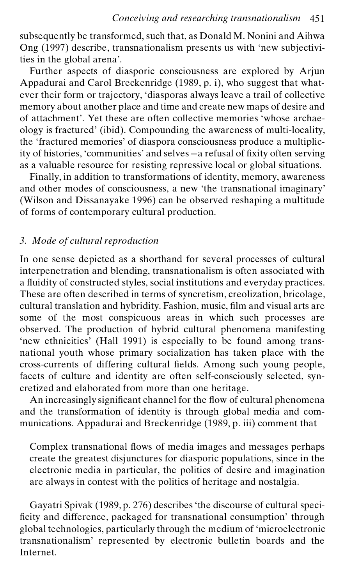subsequently be transformed, such that, as Donald M. Nonini and Aihwa Ong (1997) describe, transnationalism presents us with 'new subjectivities in the global arena'.

Further aspects of diasporic consciousness are explored by Arjun Appadurai and Carol Breckenridge (1989, p. i), who suggest that whatever their form or trajectory, 'diasporas always leave a trail of collective memory about another place and time and create new maps of desire and of attachment'. Yet these are often collective memories 'whose archaeology is fractured' (ibid). Compounding the awareness of multi-locality, the 'fractured memories' of diaspora consciousness produce a multiplicity of histories, 'communities' and selves –a refusal of fixity often serving as a valuable resource for resisting repressive local or global situations.

Finally, in addition to transformations of identity, memory, awareness and other modes of consciousness, a new 'the transnational imaginary' (Wilson and Dissanayake 1996) can be observed reshaping a multitude of forms of contemporary cultural production.

## *3. Mode of cultural reproduction*

In one sense depicted as a shorthand for several processes of cultural interpenetration and blending, transnationalism is often associated with a fluidity of constructed styles, social institutions and everyday practices. These are often described in terms of syncretism, creolization, bricolage, cultural translation and hybridity. Fashion, music, film and visual arts are some of the most conspicuous areas in which such processes are observed. The production of hybrid cultural phenomena manifesting 'new ethnicities' (Hall 1991) is especially to be found among transnational youth whose primary socialization has taken place with the cross-currents of differing cultural fields. Among such young people, facets of culture and identity are often self-consciously selected, syncretized and elaborated from more than one heritage.

An increasingly significant channel for the flow of cultural phenomena and the transformation of identity is through global media and communications. Appadurai and Breckenridge (1989, p. iii) comment that

Complex transnational flows of media images and messages perhaps create the greatest disjunctures for diasporic populations, since in the electronic media in particular, the politics of desire and imagination are always in contest with the politics of heritage and nostalgia.

Gayatri Spivak (1989, p. 276) describes 'the discourse of cultural speci ficity and difference, packaged for transnational consumption' through global technologies, particularly through the medium of 'microelectronic transnationalism' represented by electronic bulletin boards and the Internet.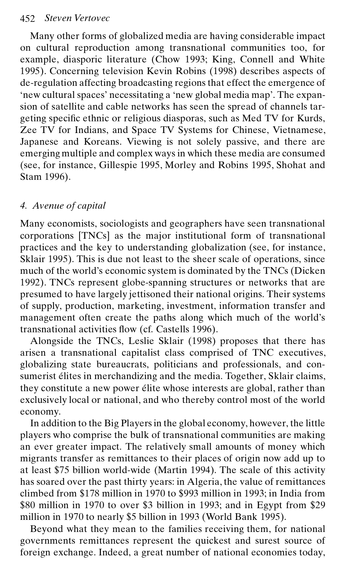#### 452 *Steven Vertovec*

Many other forms of globalized media are having considerable impact on cultural reproduction among transnational communities too, for example, diasporic literature (Chow 1993; King, Connell and White 1995). Concerning television Kevin Robins (1998) describes aspects of de-regulation affecting broadcasting regions that effect the emergence of 'new cultural spaces' necessitating a 'new global media map'. The expansion of satellite and cable networks has seen the spread of channels targeting specific ethnic or religious diasporas, such as Med TV for Kurds, Zee TV for Indians, and Space TV Systems for Chinese, Vietnamese, Japanese and Koreans. Viewing is not solely passive, and there are emerging multiple and complex ways in which these media are consumed (see, for instance, Gillespie 1995, Morley and Robins 1995, Shohat and Stam 1996).

## *4. Avenue of capital*

Many economists, sociologists and geographers have seen transnational corporations [TNCs] as the major institutional form of transnational practices and the key to understanding globalization (see, for instance, Sklair 1995). This is due not least to the sheer scale of operations, since much of the world's economic system is dominated by the TNCs (Dicken 1992). TNCs represent globe-spanning structures or networks that are presumed to have largely jettisoned their national origins. Their systems of supply, production, marketing, investment, information transfer and management often create the paths along which much of the world's transnational activities flow (cf. Castells 1996).

Alongside the TNCs, Leslie Sklair (1998) proposes that there has arisen a transnational capitalist class comprised of TNC executives, globalizing state bureaucrats, politicians and professionals, and consumerist élites in merchandizing and the media. Together, Sklair claims, they constitute a new power élite whose interests are global, rather than exclusively local or national, and who thereby control most of the world economy.

In addition to the Big Players in the global economy, however, the little players who comprise the bulk of transnational communities are making an ever greater impact. The relatively small amounts of money which migrants transfer as remittances to their places of origin now add up to at least \$75 billion world-wide (Martin 1994). The scale of this activity has soared over the past thirty years: in Algeria, the value of remittances climbed from \$178 million in 1970 to \$993 million in 1993; in India from \$80 million in 1970 to over \$3 billion in 1993; and in Egypt from \$29 million in 1970 to nearly \$5 billion in 1993 (World Bank 1995).

Beyond what they mean to the families receiving them, for national governments remittances represent the quickest and surest source of foreign exchange. Indeed, a great number of national economies today,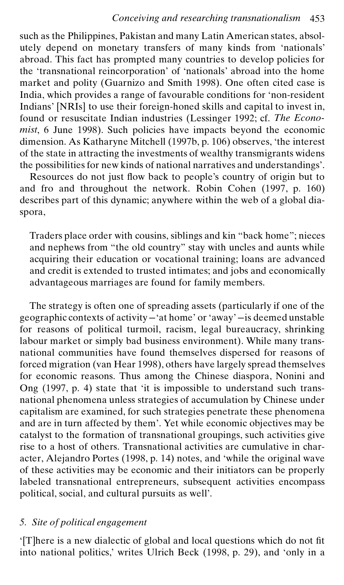#### *Conceiving and researching transnationalism* 453

such as the Philippines, Pakistan and many Latin American states, absolutely depend on monetary transfers of many kinds from 'nationals' abroad. This fact has prompted many countries to develop policies for the 'transnational reincorporation' of 'nationals' abroad into the home market and polity (Guarnizo and Smith 1998). One often cited case is India, which provides a range of favourable conditions for 'non-resident Indians' [NRIs] to use their foreign-honed skills and capital to invest in, found or resuscitate Indian industries (Lessinger 1992; cf. *The Economist*, 6 June 1998). Such policies have impacts beyond the economic dimension. As Katharyne Mitchell (1997b, p. 106) observes, 'the interest of the state in attracting the investments of wealthy transmigrants widens the possibilities for new kinds of national narratives and understandings'.

Resources do not just flow back to people's country of origin but to and fro and throughout the network. Robin Cohen (1997, p. 160) describes part of this dynamic; anywhere within the web of a global diaspora,

Traders place order with cousins, siblings and kin "back home"; nieces and nephews from "the old country" stay with uncles and aunts while acquiring their education or vocational training; loans are advanced and credit is extended to trusted intimates; and jobs and economically advantageous marriages are found for family members.

The strategy is often one of spreading assets (particularly if one of the geographic contexts of activity –'at home' or 'away' –is deemed unstable for reasons of political turmoil, racism, legal bureaucracy, shrinking labour market or simply bad business environment). While many transnational communities have found themselves dispersed for reasons of forced migration (van Hear 1998), others have largely spread themselves for economic reasons. Thus among the Chinese diaspora, Nonini and Ong (1997, p. 4) state that 'it is impossible to understand such transnational phenomena unless strategies of accumulation by Chinese under capitalism are examined, for such strategies penetrate these phenomena and are in turn affected by them'. Yet while economic objectives may be catalyst to the formation of transnational groupings, such activities give rise to a host of others. Transnational activities are cumulative in character, Alejandro Portes (1998, p. 14) notes, and 'while the original wave of these activities may be economic and their initiators can be properly labeled transnational entrepreneurs, subsequent activities encompass political, social, and cultural pursuits as well'.

#### *5. Site of political engagement*

'[T]here is a new dialectic of global and local questions which do not fit into national politics,' writes Ulrich Beck (1998, p. 29), and 'only in a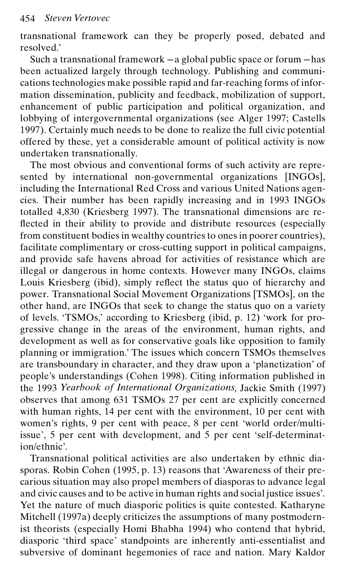transnational framework can they be properly posed, debated and resolved.'

Such a transnational framework –a global public space or forum –has been actualized largely through technology. Publishing and communications technologies make possible rapid and far-reaching forms of information dissemination, publicity and feedback, mobilization of support, enhancement of public participation and political organization, and lobbying of intergovernmental organizations (see Alger 1997; Castells 1997). Certainly much needs to be done to realize the full civic potential offered by these, yet a considerable amount of political activity is now undertaken transnationally.

The most obvious and conventional forms of such activity are represented by international non-governmental organizations [INGOs], including the International Red Cross and various United Nations agencies. Their number has been rapidly increasing and in 1993 INGOs totalled 4,830 (Kriesberg 1997). The transnational dimensions are re flected in their ability to provide and distribute resources (especially from constituent bodies in wealthy countries to ones in poorer countries), facilitate complimentary or cross-cutting support in political campaigns, and provide safe havens abroad for activities of resistance which are illegal or dangerous in home contexts. However many INGOs, claims Louis Kriesberg (ibid), simply reflect the status quo of hierarchy and power. Transnational Social Movement Organizations [TSMOs], on the other hand, are INGOs that seek to change the status quo on a variety of levels. 'TSMOs,' according to Kriesberg (ibid, p. 12) 'work for progressive change in the areas of the environment, human rights, and development as well as for conservative goals like opposition to family planning or immigration.' The issues which concern TSMOs themselves are transboundary in character, and they draw upon a 'planetization' of people's understandings (Cohen 1998). Citing information published in the 1993 *Yearbook of International Organizations*, Jackie Smith (1997) observes that among 631 TSMOs 27 per cent are explicitly concerned with human rights, 14 per cent with the environment, 10 per cent with women's rights, 9 per cent with peace, 8 per cent 'world order/multiissue', 5 per cent with development, and 5 per cent 'self-determination/ethnic'.

Transnational political activities are also undertaken by ethnic diasporas. Robin Cohen (1995, p. 13) reasons that 'Awareness of their precarious situation may also propel members of diasporas to advance legal and civic causes and to be active in human rights and social justice issues'. Yet the nature of much diasporic politics is quite contested. Katharyne Mitchell (1997a) deeply criticizes the assumptions of many postmodernist theorists (especially Homi Bhabha 1994) who contend that hybrid, diasporic 'third space' standpoints are inherently anti-essentialist and subversive of dominant hegemonies of race and nation. Mary Kaldor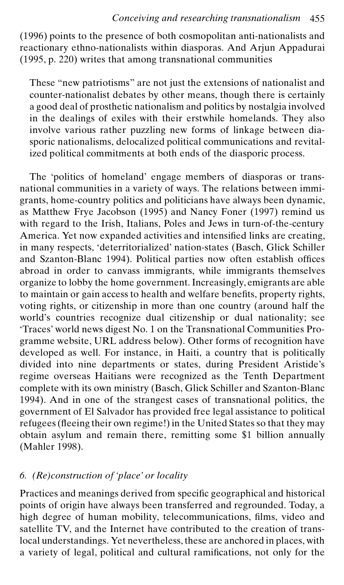#### *Conceiving and researching transnationalism* 455

(1996) points to the presence of both cosmopolitan anti-nationalists and reactionary ethno-nationalists within diasporas. And Arjun Appadurai (1995, p. 220) writes that among transnational communities

These "new patriotisms" are not just the extensions of nationalist and counter-nationalist debates by other means, though there is certainly a good deal of prosthetic nationalism and politics by nostalgia involved in the dealings of exiles with their erstwhile homelands. They also involve various rather puzzling new forms of linkage between diasporic nationalisms, delocalized political communications and revitalized political commitments at both ends of the diasporic process.

The 'politics of homeland' engage members of diasporas or transnational communities in a variety of ways. The relations between immigrants, home-country politics and politicians have always been dynamic, as Matthew Frye Jacobson (1995) and Nancy Foner (1997) remind us with regard to the Irish, Italians, Poles and Jews in turn-of-the-century America. Yet now expanded activities and intensified links are creating, in many respects, 'deterritorialized' nation-states (Basch, Glick Schiller and Szanton-Blanc 1994). Political parties now often establish offices abroad in order to canvass immigrants, while immigrants themselves organize to lobby the home government. Increasingly, emigrants are able to maintain or gain access to health and welfare benefits, property rights, voting rights, or citizenship in more than one country (around half the world's countries recognize dual citizenship or dual nationality; see 'Traces' world news digest No. 1 on the Transnational Communities Programme website, URL address below). Other forms of recognition have developed as well. For instance, in Haiti, a country that is politically divided into nine departments or states, during President Aristide's regime overseas Haitians were recognized as the Tenth Department complete with its own ministry (Basch, Glick Schiller and Szanton-Blanc 1994). And in one of the strangest cases of transnational politics, the government of El Salvador has provided free legal assistance to political refugees (fleeing their own regime!) in the United States so that they may obtain asylum and remain there, remitting some \$1 billion annually (Mahler 1998).

## *6. (Re)construction of 'place' or locality*

Practices and meanings derived from specific geographical and historical points of origin have always been transferred and regrounded. Today, a high degree of human mobility, telecommunications, films, video and satellite TV, and the Internet have contributed to the creation of translocal understandings. Yet nevertheless, these are anchored in places, with a variety of legal, political and cultural ramications, not only for the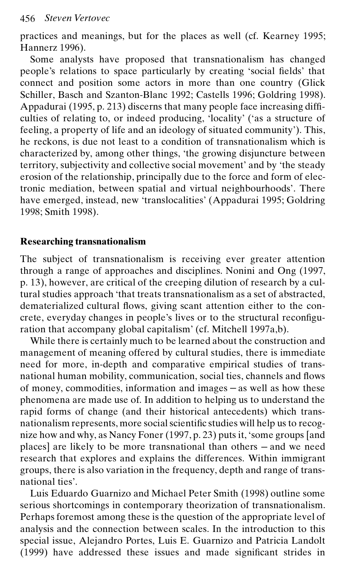practices and meanings, but for the places as well (cf. Kearney 1995; Hannerz 1996).

Some analysts have proposed that transnationalism has changed people's relations to space particularly by creating 'social fields' that connect and position some actors in more than one country (Glick Schiller, Basch and Szanton-Blanc 1992; Castells 1996; Goldring 1998). Appadurai (1995, p. 213) discerns that many people face increasing difficulties of relating to, or indeed producing, 'locality' ('as a structure of feeling, a property of life and an ideology of situated community'). This, he reckons, is due not least to a condition of transnationalism which is characterized by, among other things, 'the growing disjuncture between territory, subjectivity and collective social movement' and by 'the steady erosion of the relationship, principally due to the force and form of electronic mediation, between spatial and virtual neighbourhoods'. There have emerged, instead, new 'translocalities' (Appadurai 1995; Goldring 1998; Smith 1998).

#### **Researching transnationalism**

The subject of transnationalism is receiving ever greater attention through a range of approaches and disciplines. Nonini and Ong (1997, p. 13), however, are critical of the creeping dilution of research by a cultural studies approach 'that treats transnationalism as a set of abstracted, dematerialized cultural flows, giving scant attention either to the concrete, everyday changes in people's lives or to the structural reconfiguration that accompany global capitalism' (cf. Mitchell 1997a,b).

While there is certainly much to be learned about the construction and management of meaning offered by cultural studies, there is immediate need for more, in-depth and comparative empirical studies of transnational human mobility, communication, social ties, channels and flows of money, commodities, information and images – as well as how these phenomena are made use of. In addition to helping us to understand the rapid forms of change (and their historical antecedents) which transnationalism represents, more social scientific studies will help us to recognize how and why, as Nancy Foner (1997, p. 23) puts it, 'some groups [and places] are likely to be more transnational than others – and we need research that explores and explains the differences. Within immigrant groups, there is also variation in the frequency, depth and range of transnational ties'.

Luis Eduardo Guarnizo and Michael Peter Smith (1998) outline some serious shortcomings in contemporary theorization of transnationalism. Perhaps foremost among these is the question of the appropriate level of analysis and the connection between scales. In the introduction to this special issue, Alejandro Portes, Luis E. Guarnizo and Patricia Landolt (1999) have addressed these issues and made signicant strides in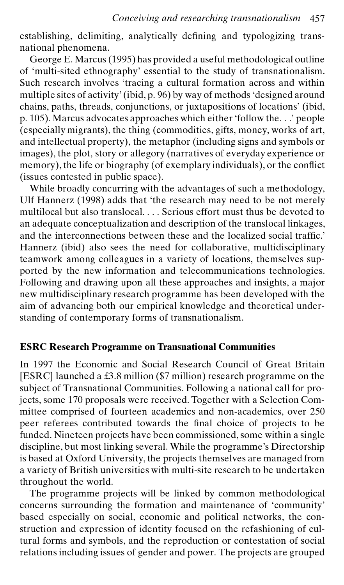establishing, delimiting, analytically defining and typologizing transnational phenomena.

George E. Marcus (1995) has provided a useful methodological outline of 'multi-sited ethnography' essential to the study of transnationalism. Such research involves 'tracing a cultural formation across and within multiple sites of activity'(ibid, p. 96) by way of methods 'designed around chains, paths, threads, conjunctions, or juxtapositions of locations' (ibid, p. 105). Marcus advocates approaches which either 'follow the. . .' people (especially migrants), the thing (commodities, gifts, money, works of art, and intellectual property), the metaphor (including signs and symbols or images), the plot, story or allegory (narratives of everyday experience or memory), the life or biography (of exemplary individuals), or the conflict (issues contested in public space).

While broadly concurring with the advantages of such a methodology, Ulf Hannerz (1998) adds that 'the research may need to be not merely multilocal but also translocal. . . . Serious effort must thus be devoted to an adequate conceptualization and description of the translocal linkages, and the interconnections between these and the localized social traffic.' Hannerz (ibid) also sees the need for collaborative, multidisciplinary teamwork among colleagues in a variety of locations, themselves supported by the new information and telecommunications technologies. Following and drawing upon all these approaches and insights, a major new multidisciplinary research programme has been developed with the aim of advancing both our empirical knowledge and theoretical understanding of contemporary forms of transnationalism.

#### **ESRC Research Programme on Transnational Communities**

In 1997 the Economic and Social Research Council of Great Britain [ESRC] launched a £3.8 million (\$7 million) research programme on the subject of Transnational Communities. Following a national call for projects, some 170 proposals were received. Together with a Selection Committee comprised of fourteen academics and non-academics, over 250 peer referees contributed towards the final choice of projects to be funded. Nineteen projects have been commissioned, some within a single discipline, but most linking several. While the programme's Directorship is based at Oxford University, the projects themselves are managed from a variety of British universities with multi-site research to be undertaken throughout the world.

The programme projects will be linked by common methodological concerns surrounding the formation and maintenance of 'community' based especially on social, economic and political networks, the construction and expression of identity focused on the refashioning of cultural forms and symbols, and the reproduction or contestation of social relations including issues of gender and power. The projects are grouped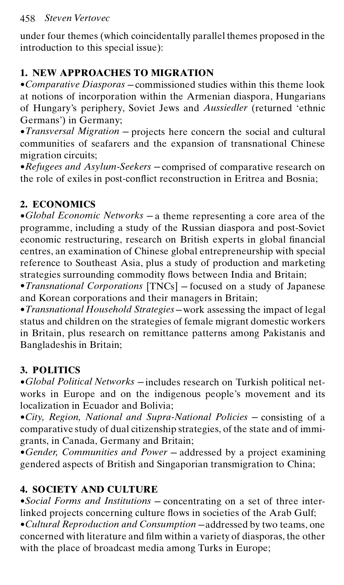under four themes (which coincidentally parallel themes proposed in the introduction to this special issue):

# **1. NEW APPROACHES TO MIGRATION**

*Comparative Diasporas* – commissioned studies within this theme look at notions of incorporation within the Armenian diaspora, Hungarians of Hungary's periphery, Soviet Jews and *Aussiedler* (returned 'ethnic Germans') in Germany;

*Transversal Migration* – projects here concern the social and cultural communities of seafarers and the expansion of transnational Chinese migration circuits;

*Refugees and Asylum-Seekers* – comprised of comparative research on the role of exiles in post-conflict reconstruction in Eritrea and Bosnia;

# **2. ECONOMICS**

*Global Economic Networks* – a theme representing a core area of the programme, including a study of the Russian diaspora and post-Soviet economic restructuring, research on British experts in global financial centres, an examination of Chinese global entrepreneurship with special reference to Southeast Asia, plus a study of production and marketing strategies surrounding commodity flows between India and Britain;

*Transnational Corporations* [TNCs] – focused on a study of Japanese and Korean corporations and their managers in Britain;

*Transnational Household Strategies* –work assessing the impact of legal status and children on the strategies of female migrant domestic workers in Britain, plus research on remittance patterns among Pakistanis and Bangladeshis in Britain;

# **3. POLITICS**

*Global Political Networks* – includes research on Turkish political networks in Europe and on the indigenous people's movement and its localization in Ecuador and Bolivia;

*City, Region, National and Supra-National Policies* – consisting of a comparative study of dual citizenship strategies, of the state and of immigrants, in Canada, Germany and Britain;

*Gender, Communities and Power* – addressed by a project examining gendered aspects of British and Singaporian transmigration to China;

# **4. SOCIETY AND CULTURE**

*Social Forms and Institutions* – concentrating on a set of three interlinked projects concerning culture flows in societies of the Arab Gulf; *Cultural Reproduction and Consumption* –addressed by two teams, one concerned with literature and film within a variety of diasporas, the other with the place of broadcast media among Turks in Europe;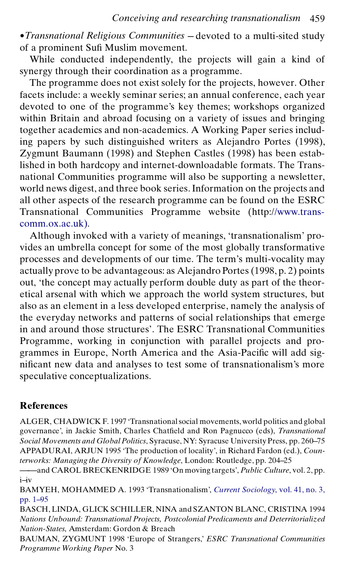*Transnational Religious Communities* – devoted to a multi-sited study of a prominent Sufi Muslim movement.

While conducted independently, the projects will gain a kind of synergy through their coordination as a programme.

The programme does not exist solely for the projects, however. Other facets include: a weekly seminar series; an annual conference, each year devoted to one of the programme's key themes; workshops organized within Britain and abroad focusing on a variety of issues and bringing together academics and non-academics. A Working Paper series including papers by such distinguished writers as Alejandro Portes (1998), Zygmunt Baumann (1998) and Stephen Castles (1998) has been established in both hardcopy and internet-downloadable formats. The Transnational Communities programme will also be supporting a newsletter, world news digest, and three book series. Information on the projects and all other aspects of the research programme can be found on the ESRC Transnational Communities Programme website ([http://www.trans](http://www.transcomm.ox.ac.uk)[comm.ox.ac.uk](http://www.transcomm.ox.ac.uk)).

Although invoked with a variety of meanings, 'transnationalism' provides an umbrella concept for some of the most globally transformative processes and developments of our time. The term's multi-vocality may actually prove to be advantageous: as Alejandro Portes (1998, p. 2) points out, 'the concept may actually perform double duty as part of the theoretical arsenal with which we approach the world system structures, but also as an element in a less developed enterprise, namely the analysis of the everyday networks and patterns of social relationships that emerge in and around those structures'. The ESRC Transnational Communities Programme, working in conjunction with parallel projects and programmes in Europe, North America and the Asia-Pacific will add significant new data and analyses to test some of transnationalism's more speculative conceptualizations.

#### **References**

ALGER, CHADWICK F. 1997 'Transnational social movements, world politics and global governance', in Jackie Smith, Charles Chatfield and Ron Pagnucco (eds), *Transnational Social Movements and Global Politics*, Syracuse, NY: Syracuse University Press, pp. 260–75 APPADURAI, ARJUN 1995 'The production of locality', in Richard Fardon (ed.), *Counterworks: Managing the Diversity of Knowledge*, London: Routledge, pp. 204–25

——and CAROL BRECKENRIDGE 1989 'On moving targets', *Public Culture*, vol. 2, pp. i–iv

BAMYEH, MOHAMMED A. 1993 'Transnationalism', *[Current Sociology](http://www.ingentaselect.com/rpsv/cgi-bin/linker?ext=a&reqidx=/0011-3921^28^2941:3L.1[aid=320616,csa=0011-3921^26vol=41^26iss=3^26firstpage=1])*, vol. 41, no. 3, [pp. 1](http://www.ingentaselect.com/rpsv/cgi-bin/linker?ext=a&reqidx=/0011-3921^28^2941:3L.1[aid=320616,csa=0011-3921^26vol=41^26iss=3^26firstpage=1])–95

BASCH, LINDA, GLICK SCHILLER, NINA and SZANTON BLANC, CRISTINA 1994 *Nations Unbound: Transnational Projects, Postcolonial Predicaments and Deterritorialized Nation-States*, Amsterdam: Gordon & Breach

BAUMAN, ZYGMUNT 1998 'Europe of Strangers,' *ESRC Transnational Communities Programme Working Paper* No. 3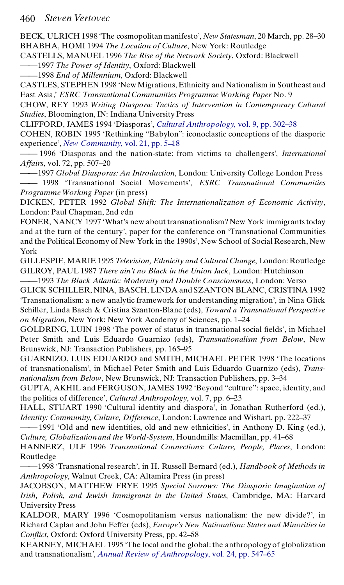BECK, ULRICH 1998 'The cosmopolitan manifesto', *New Statesman*, 20 March, pp. 28–30 BHABHA, HOMI 1994 *The Location of Culture*, New York: Routledge

CASTELLS, MANUEL 1996 *The Rise of the Network Society*, Oxford: Blackwell

——1997 *The Power of Identity*, Oxford: Blackwell

——1998 *End of Millennium*, Oxford: Blackwell

CASTLES, STEPHEN 1998 'New Migrations, Ethnicity and Nationalism in Southeast and East Asia,' *ESRC Transnational Communities Programme Working Paper* No. 9

CHOW, REY 1993 *Writing Diaspora: Tactics of Intervention in Contemporary Cultural Studies*, Bloomington, IN: Indiana University Press

CLIFFORD, JAMES 1994 'Diasporas', *[Cultural Anthropology](http://www.ingentaselect.com/rpsv/cgi-bin/linker?ext=a&reqidx=/0886-7356^28^299L.302[aid=96903,csa=0886-7356^26vol=9^26iss=3^26firstpage=302])*, vol. 9, pp. 302–38

COHEN, R[OBIN 1995 'Rethinking "Babylon"](http://www.ingentaselect.com/rpsv/cgi-bin/linker?ext=a&reqidx=/0047-9586^28^2921L.5[aid=320617,csa=0047-9586^26vol=21^26iss=1^26firstpage=5,era=95M/319]): iconoclastic conceptions of the diasporic experience', *New Community*, vol. 21, pp. 5–18

—— 1996 'Diasporas and the nation-state: from victims to challengers', *International Affairs*, vol. 72, pp. 507–<sup>20</sup> ——1997 *Global Diasporas: An Introduction*, London: University College London Press

—— 1998 'Transnational Social Movements', *ESRC Transnational Communities Programme Working Paper* (in press)

DICKEN, PETER 1992 *Global Shift: The Internationalization of Economic Activity*, London: Paul Chapman, 2nd edn

FONER, NANCY 1997 'What's new about transnationalism? New York immigrants today and at the turn of the century', paper for the conference on 'Transnational Communities and the Political Economy of New York in the 1990s', New School of Social Research, New York

GILLESPIE, MARIE 1995 *Television, Ethnicity and Cultural Change*, London: Routledge GILROY, PAUL 1987 *There ain't no Black in the Union Jack*, London: Hutchinson ——1993 *The Black Atlantic: Modernity and Double Consciousness*, London: Verso

GLICK SCHILLER, NINA, BASCH, LINDA and SZANTON BLANC, CRISTINA 1992 'Transnationalism: a new analytic framework for understanding migration', in Nina Glick Schiller, Linda Basch & Cristina Szanton-Blanc (eds), *Toward a Transnational Perspective on Migration*, New York: New York Academy of Sciences, pp. 1–24

GOLDRING, LUIN 1998 'The power of status in transnational social fields', in Michael Peter Smith and Luis Eduardo Guarnizo (eds), *Transnationalism from Below*, New Brunswick, NJ: Transaction Publishers, pp. 165–95

GUARNIZO, LUIS EDUARDO and SMITH, MICHAEL PETER 1998 'The locations of transnationalism', in Michael Peter Smith and Luis Eduardo Guarnizo (eds), *Transnationalism from Below*, New Brunswick, NJ: Transaction Publishers, pp. 3–34

GUPTA, AKHIL and FERGUSON, JAMES 1992 'Beyond "culture": space, identity, and the politics of difference', *Cultural Anthropology*, vol. 7, pp. 6–23

HALL, STUART 1990 'Cultural identity and diaspora', in Jonathan Rutherford (ed.), *Identity: Community, Culture, Difference*, London: Lawrence and Wishart, pp. 222–37

——1991 'Old and new identities, old and new ethnicities', in Anthony D. King (ed.), *Culture, Globalization and the World-System*, Houndmills: Macmillan, pp. 41–68

HANNERZ, ULF 1996 *Transnational Connections: Culture, People, Places*, London: Routledge

——1998 'Transnational research', in H. Russell Bernard (ed.), *Handbook of Methods in Anthropology*, Walnut Creek, CA: Altamira Press (in press)

JACOBSON, MATTHEW FRYE 1995 *Special Sorrows: The Diasporic Imagination of Irish, Polish, and Jewish Immigrants in the United States*, Cambridge, MA: Harvard University Press

KALDOR, MARY 1996 'Cosmopolitanism versus nationalism: the new divide?', in Richard Caplan and John Feffer (eds), *Europe's New Nationalism: States and Minorities in Conflict*, Oxford: Oxford University Press, pp. 42–58

KEARNEY, MICHAEL 1995 'The local and the global: the anthropology of globalization and transnationalism', *[Annual Review of Anthropology](http://www.ingentaselect.com/rpsv/cgi-bin/linker?ext=a&reqidx=/0084-6570^28^2924L.547[aid=97099,csa=0084-6570^26vol=24^26iss=^26firstpage=547])*, vol. 24, pp. 547–65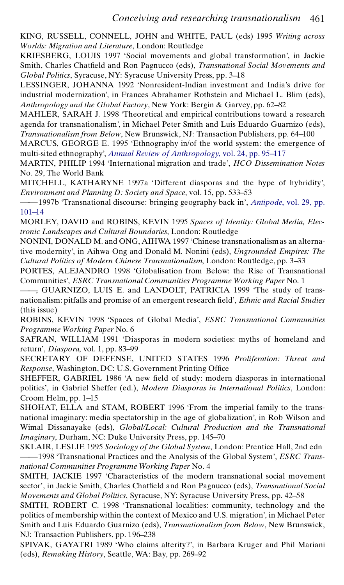KING, RUSSELL, CONNELL, JOHN and WHITE, PAUL (eds) 1995 *Writing across Worlds: Migration and Literature*, London: Routledge

KRIESBERG, LOUIS 1997 'Social movements and global transformation', in Jackie Smith, Charles Chatfield and Ron Pagnucco (eds), *Transnational Social Movements and Global Politics*, Syracuse, NY: Syracuse University Press, pp. 3–18

LESSINGER, JOHANNA 1992 'Nonresident-Indian investment and India's drive for industrial modernization', in Frances Abrahamer Rothstein and Michael L. Blim (eds), *Anthropology and the Global Factory*, New York: Bergin & Garvey, pp. 62–82

MAHLER, SARAH J. 1998 'Theoretical and empirical contributions toward a research agenda for transnationalism', in Michael Peter Smith and Luis Eduardo Guarnizo (eds), *Transnationalism from Below*, New Brunswick, NJ: Transaction Publishers, pp. 64–100

MARCUS, GEORGE E. 1995 'Ethnography in/of the world system: the emergence of multi-sited ethnography', *[Annual Review of Anthropology](http://www.ingentaselect.com/rpsv/cgi-bin/linker?ext=a&reqidx=/0084-6570^28^2924L.95[aid=45098,csa=0084-6570^26vol=24^26iss=^26firstpage=95])*, vol. 24, pp. 95–117

MARTIN, PHILIP 1994 'International migration and trade', *HCO Dissemination Notes* No. 29, The World Bank

MITCHELL, KATHARYNE 1997a 'Different diasporas and the hype of hybridity', *Environment and Planning D: Society and Space*, vol. 15, pp. 533–<sup>53</sup> [——](http://www.ingentaselect.com/rpsv/cgi-bin/linker?ext=a&reqidx=/0066-4812^28^2929L.101[aid=320619,csa=0066-4812^26vol=29^26iss=2^26firstpage=101])1997b 'Transnational discourse: bringing geography back in', *Antipode*[, vol. 29, pp.](http://www.ingentaselect.com/rpsv/cgi-bin/linker?ext=a&reqidx=/0066-4812^28^2929L.101[aid=320619,csa=0066-4812^26vol=29^26iss=2^26firstpage=101])

101–14

MORLEY, DAVID and ROBINS, KEVIN 1995 *Spaces of Identity: Global Media, Electronic Landscapes and Cultural Boundaries*, London: Routledge

NONINI, DONALD M. and ONG, AIHWA 1997 'Chinese transnationalism as an alternative modernity', in Aihwa Ong and Donald M. Nonini (eds), *Ungrounded Empires: The Cultural Politics of Modern Chinese Transnationalism*, London: Routledge, pp. 3–33

PORTES, ALEJANDRO 1998 'Globalisation from Below: the Rise of Transnational Communities', *ESRC Transnational Communities Programme Working Paper* No. 1

——, GUARNIZO, LUIS E. and LANDOLT, PATRICIA 1999 'The study of transnationalism: pitfalls and promise of an emergent research field', *Ethnic and Racial Studies* (this issue)

ROBINS, KEVIN 1998 'Spaces of Global Media', *ESRC Transnational Communities Programme Working Paper* No. 6

SAFRAN, WILLIAM 1991 'Diasporas in modern societies: myths of homeland and return', *Diaspora*, vol. 1, pp. 83–99

SECRETARY OF DEFENSE, UNITED STATES 1996 *Proliferation: Threat and Response*, Washington, DC: U.S. Government Printing Office

SHEFFER, GABRIEL 1986 'A new field of study: modern diasporas in international politics', in Gabriel Sheffer (ed.), *Modern Diasporas in International Politics*, London: Croom Helm, pp. 1–15

SHOHAT, ELLA and STAM, ROBERT 1996 'From the imperial family to the transnational imaginary: media spectatorship in the age of globalization', in Rob Wilson and Wimal Dissanayake (eds), *Global/Local: Cultural Production and the Transnational Imaginary*, Durham, NC: Duke University Press, pp. 145–70

SKLAIR, LESLIE 1995 *Sociology of the Global System*, London: Prentice Hall, 2nd edn ——1998 'Transnational Practices and the Analysis of the Global System', *ESRC Transnational Communities Programme Working Paper* No. 4

SMITH, JACKIE 1997 'Characteristics of the modern transnational social movement sector', in Jackie Smith, Charles Chatfield and Ron Pagnucco (eds), *Transnational Social Movements and Global Politics*, Syracuse, NY: Syracuse University Press, pp. 42–58

SMITH, ROBERT C. 1998 'Transnational localities: community, technology and the politics of membership within the context of Mexico and U.S. migration', in Michael Peter Smith and Luis Eduardo Guarnizo (eds), *Transnationalism from Below*, New Brunswick, NJ: Transaction Publishers, pp. 196–238

SPIVAK, GAYATRI 1989 'Who claims alterity?', in Barbara Kruger and Phil Mariani (eds), *Remaking History*, Seattle, WA: Bay, pp. 269–92